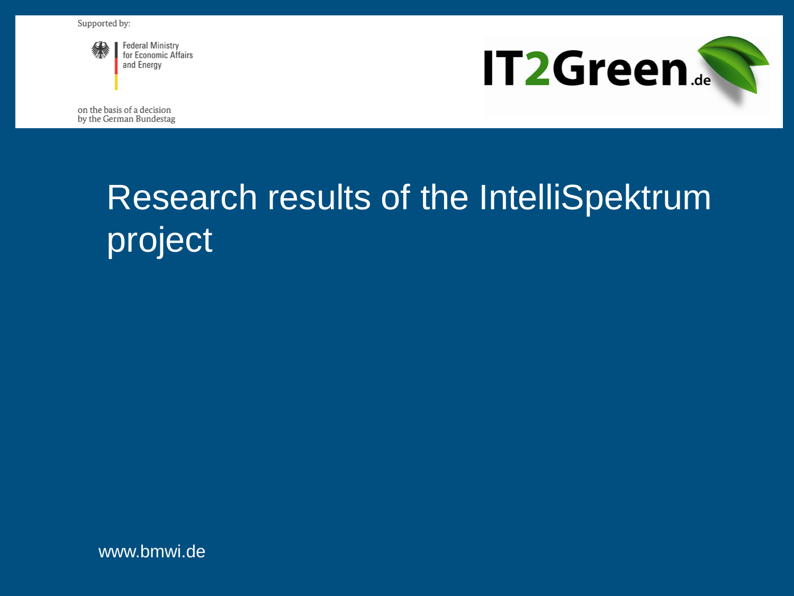

**Federal Ministry** for Economic Affairs and Energy



on the basis of a decision by the German Bundestag

## Research results of the IntelliSpektrum project

www.bmwi.de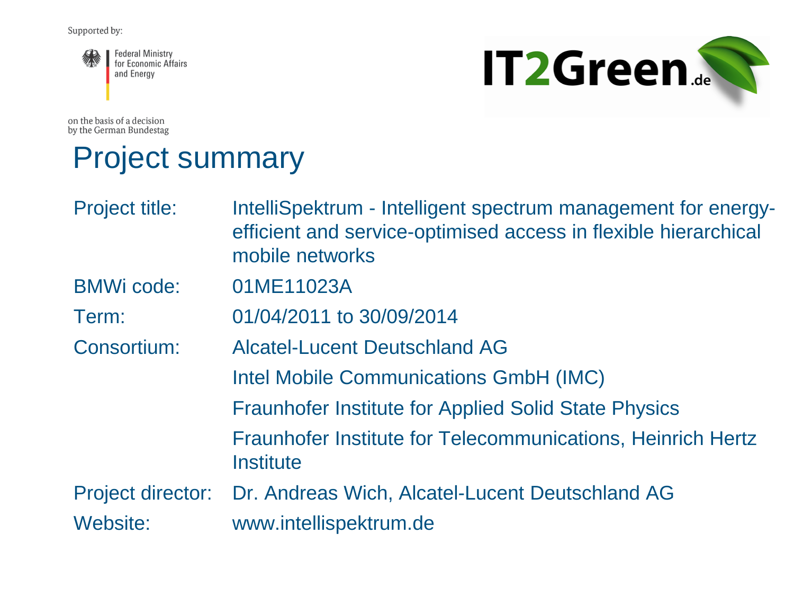

on the basis of a decision by the German Bundestag

# **IT2Green...**

#### Project summary

| IntelliSpektrum - Intelligent spectrum management for energy-<br>efficient and service-optimised access in flexible hierarchical<br>mobile networks |
|-----------------------------------------------------------------------------------------------------------------------------------------------------|
| 01ME11023A                                                                                                                                          |
| 01/04/2011 to 30/09/2014                                                                                                                            |
| <b>Alcatel-Lucent Deutschland AG</b>                                                                                                                |
| <b>Intel Mobile Communications GmbH (IMC)</b>                                                                                                       |
| <b>Fraunhofer Institute for Applied Solid State Physics</b>                                                                                         |
| <b>Fraunhofer Institute for Telecommunications, Heinrich Hertz</b><br>Institute                                                                     |
| Project director: Dr. Andreas Wich, Alcatel-Lucent Deutschland AG                                                                                   |
| www.intellispektrum.de                                                                                                                              |
|                                                                                                                                                     |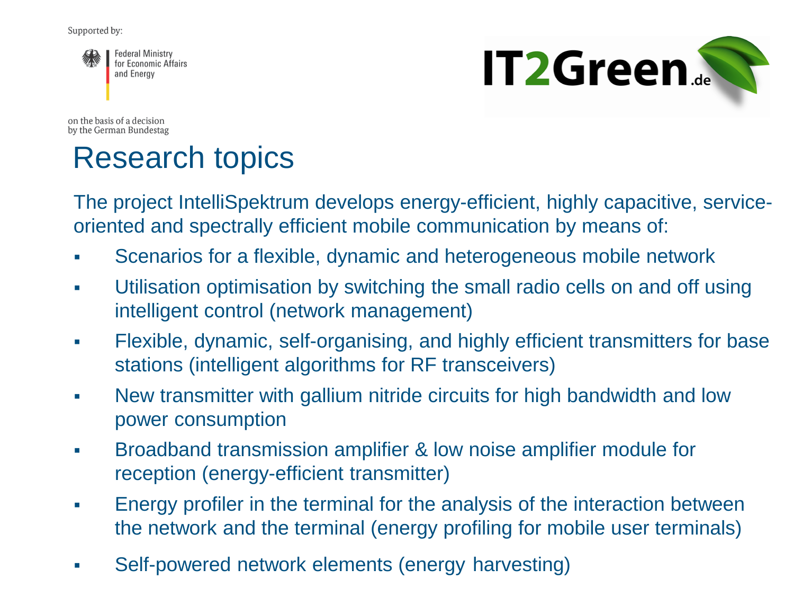

**IT2Green** 

on the basis of a decision by the German Bundestag

#### Research topics

The project IntelliSpektrum develops energy-efficient, highly capacitive, serviceoriented and spectrally efficient mobile communication by means of:

- Scenarios for a flexible, dynamic and heterogeneous mobile network
- Utilisation optimisation by switching the small radio cells on and off using intelligent control (network management)
- Flexible, dynamic, self-organising, and highly efficient transmitters for base stations (intelligent algorithms for RF transceivers)
- New transmitter with gallium nitride circuits for high bandwidth and low power consumption
- Broadband transmission amplifier & low noise amplifier module for reception (energy-efficient transmitter)
- Energy profiler in the terminal for the analysis of the interaction between the network and the terminal (energy profiling for mobile user terminals)
- Self-powered network elements (energy harvesting)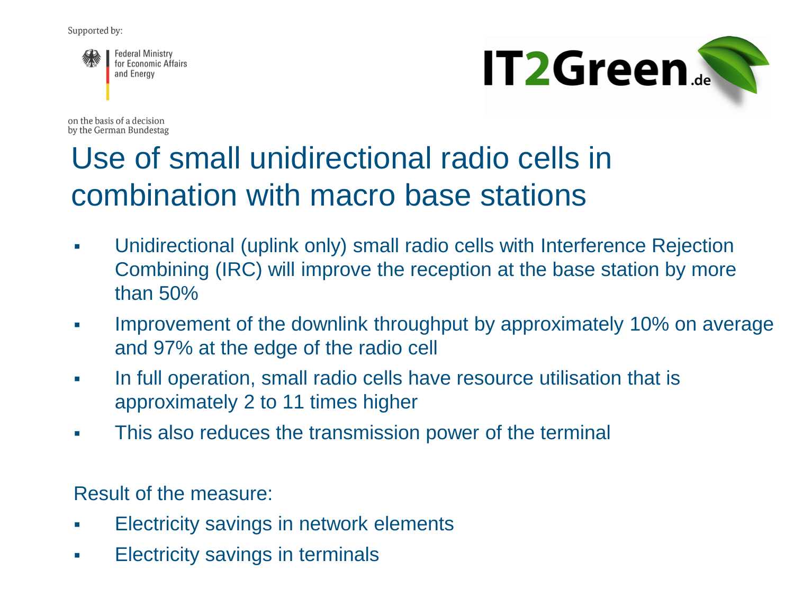



on the basis of a decision by the German Bundestag

#### Use of small unidirectional radio cells in combination with macro base stations

- Unidirectional (uplink only) small radio cells with Interference Rejection Combining (IRC) will improve the reception at the base station by more than 50%
- **IMPRO** Improvement of the downlink throughput by approximately 10% on average and 97% at the edge of the radio cell
- In full operation, small radio cells have resource utilisation that is approximately 2 to 11 times higher
- This also reduces the transmission power of the terminal

Result of the measure:

- **Electricity savings in network elements**
- **Electricity savings in terminals**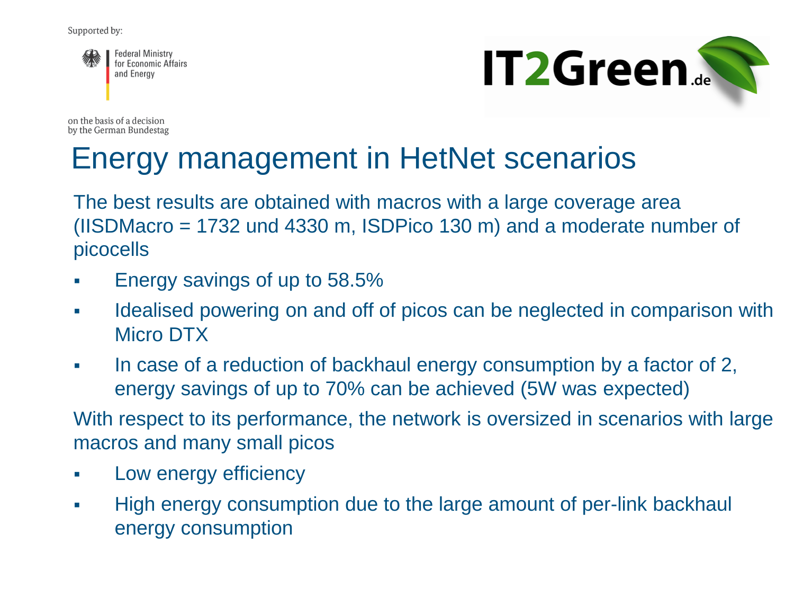



on the basis of a decision by the German Bundestag

#### Energy management in HetNet scenarios

The best results are obtained with macros with a large coverage area (IISDMacro = 1732 und 4330 m, ISDPico 130 m) and a moderate number of picocells

- Energy savings of up to 58.5%
- Idealised powering on and off of picos can be neglected in comparison with Micro DTX
- In case of a reduction of backhaul energy consumption by a factor of 2, energy savings of up to 70% can be achieved (5W was expected)

With respect to its performance, the network is oversized in scenarios with large macros and many small picos

- **Low energy efficiency**
- High energy consumption due to the large amount of per-link backhaul energy consumption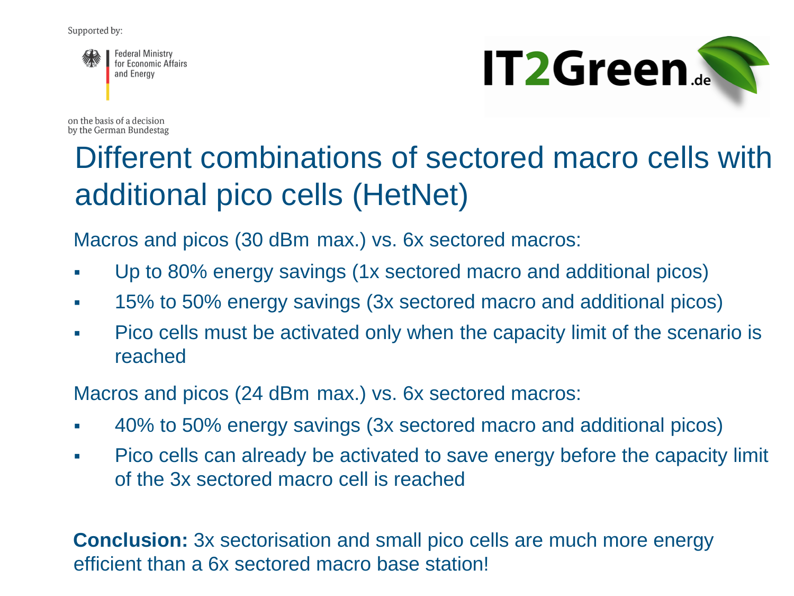



on the basis of a decision by the German Bundestag

#### Different combinations of sectored macro cells with additional pico cells (HetNet)

Macros and picos (30 dBm max.) vs. 6x sectored macros:

- Up to 80% energy savings (1x sectored macro and additional picos)
- 15% to 50% energy savings (3x sectored macro and additional picos)
- Pico cells must be activated only when the capacity limit of the scenario is reached

Macros and picos (24 dBm max.) vs. 6x sectored macros:

- 40% to 50% energy savings (3x sectored macro and additional picos)
- Pico cells can already be activated to save energy before the capacity limit of the 3x sectored macro cell is reached

**Conclusion:** 3x sectorisation and small pico cells are much more energy efficient than a 6x sectored macro base station!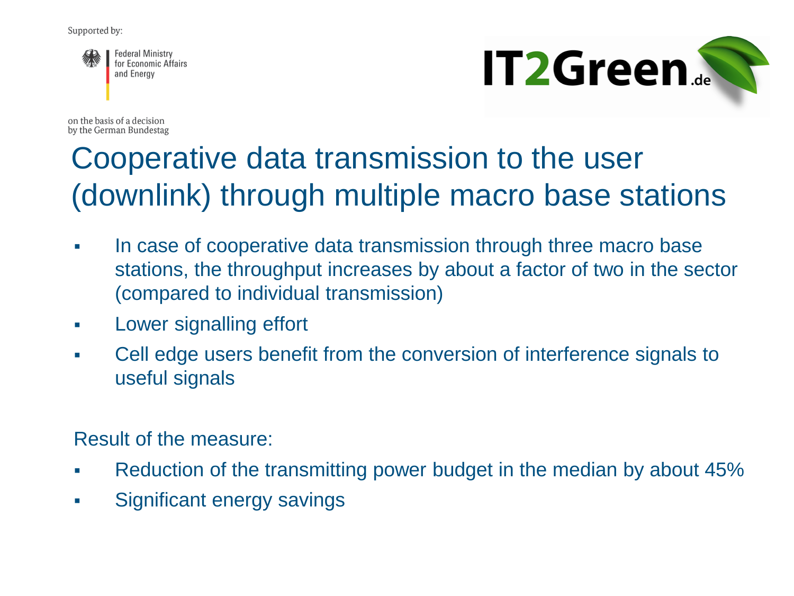



on the basis of a decision by the German Bundestag

### Cooperative data transmission to the user (downlink) through multiple macro base stations

- In case of cooperative data transmission through three macro base stations, the throughput increases by about a factor of two in the sector (compared to individual transmission)
- **Lower signalling effort**
- Cell edge users benefit from the conversion of interference signals to useful signals

Result of the measure:

- Reduction of the transmitting power budget in the median by about 45%
- Significant energy savings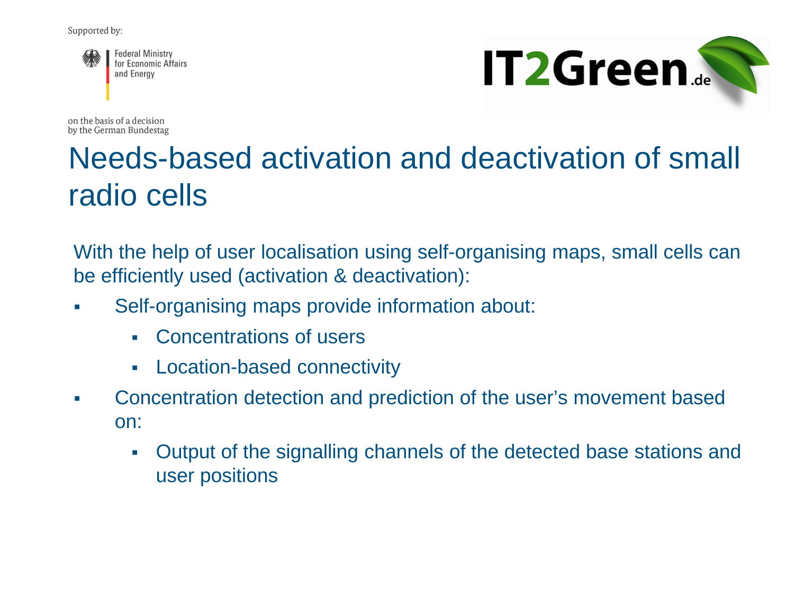



on the basis of a decision by the German Bundestag

#### Needs-based activation and deactivation of small radio cells

With the help of user localisation using self-organising maps, small cells can be efficiently used (activation & deactivation):

- Self-organising maps provide information about:
	- Concentrations of users
	- Location-based connectivity
- Concentration detection and prediction of the user's movement based on:
	- Output of the signalling channels of the detected base stations and user positions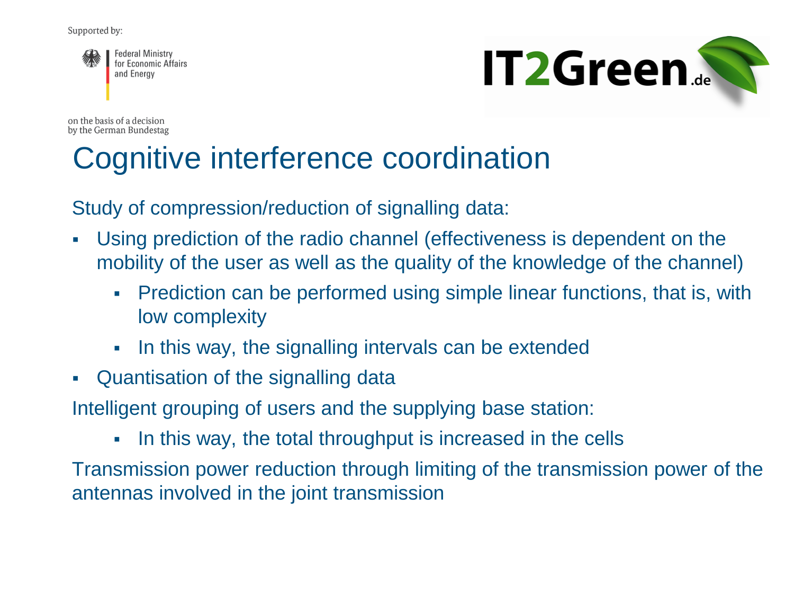



on the basis of a decision by the German Bundestag

#### Cognitive interference coordination

Study of compression/reduction of signalling data:

- Using prediction of the radio channel (effectiveness is dependent on the mobility of the user as well as the quality of the knowledge of the channel)
	- Prediction can be performed using simple linear functions, that is, with low complexity
	- In this way, the signalling intervals can be extended
- Quantisation of the signalling data

Intelligent grouping of users and the supplying base station:

• In this way, the total throughput is increased in the cells

Transmission power reduction through limiting of the transmission power of the antennas involved in the joint transmission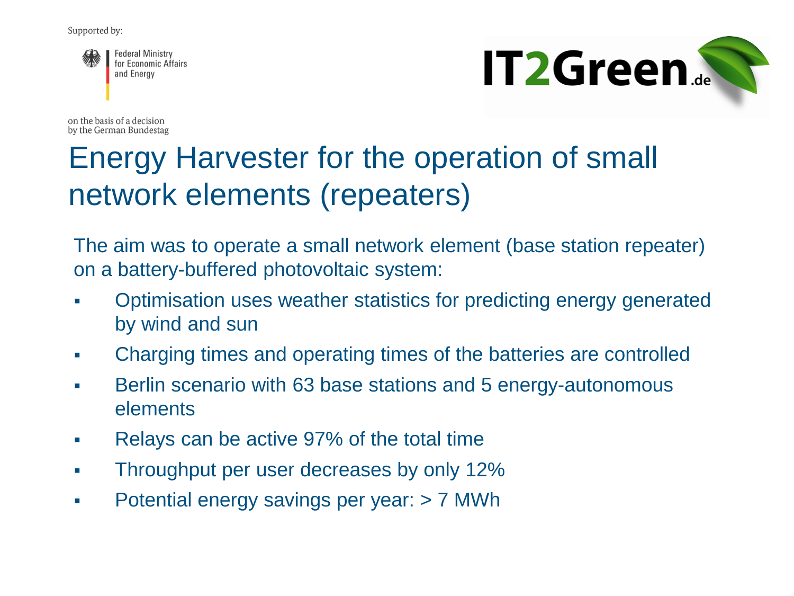



on the basis of a decision by the German Bundestag

#### Energy Harvester for the operation of small network elements (repeaters)

The aim was to operate a small network element (base station repeater) on a battery-buffered photovoltaic system:

- Optimisation uses weather statistics for predicting energy generated by wind and sun
- Charging times and operating times of the batteries are controlled
- **Berlin scenario with 63 base stations and 5 energy-autonomous** elements
- Relays can be active 97% of the total time
- Throughput per user decreases by only 12%
- Potential energy savings per year: > 7 MWh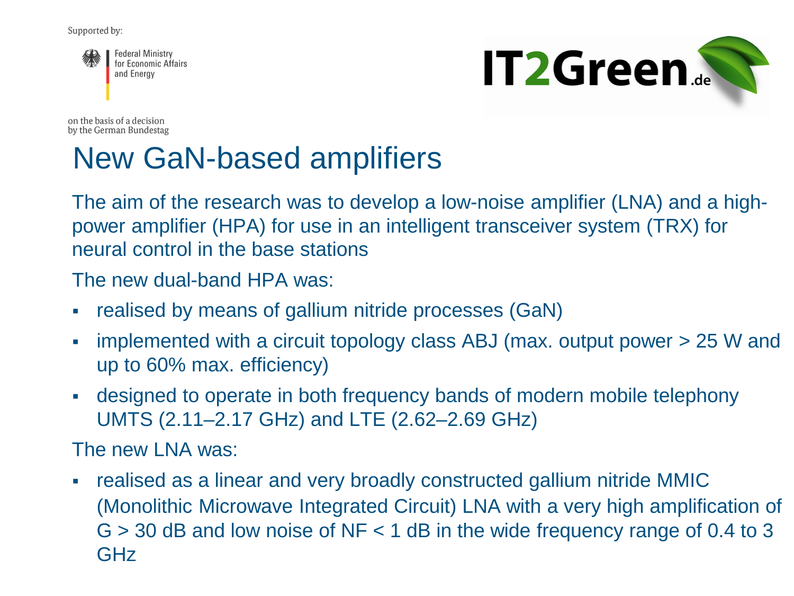



on the basis of a decision by the German Bundestag

### New GaN-based amplifiers

The aim of the research was to develop a low-noise amplifier (LNA) and a highpower amplifier (HPA) for use in an intelligent transceiver system (TRX) for neural control in the base stations

The new dual-band HPA was:

- realised by means of gallium nitride processes (GaN)
- implemented with a circuit topology class ABJ (max. output power > 25 W and up to 60% max. efficiency)
- designed to operate in both frequency bands of modern mobile telephony UMTS (2.11–2.17 GHz) and LTE (2.62–2.69 GHz)

The new I NA was:

 realised as a linear and very broadly constructed gallium nitride MMIC (Monolithic Microwave Integrated Circuit) LNA with a very high amplification of  $G > 30$  dB and low noise of NF < 1 dB in the wide frequency range of 0.4 to 3 GHz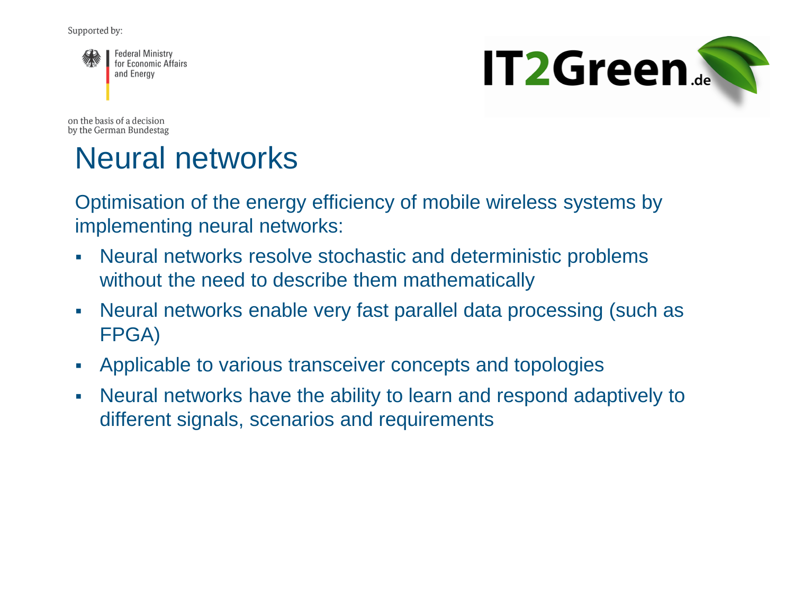



on the basis of a decision by the German Bundestag

#### Neural networks

Optimisation of the energy efficiency of mobile wireless systems by implementing neural networks:

- Neural networks resolve stochastic and deterministic problems without the need to describe them mathematically
- Neural networks enable very fast parallel data processing (such as FPGA)
- Applicable to various transceiver concepts and topologies
- Neural networks have the ability to learn and respond adaptively to different signals, scenarios and requirements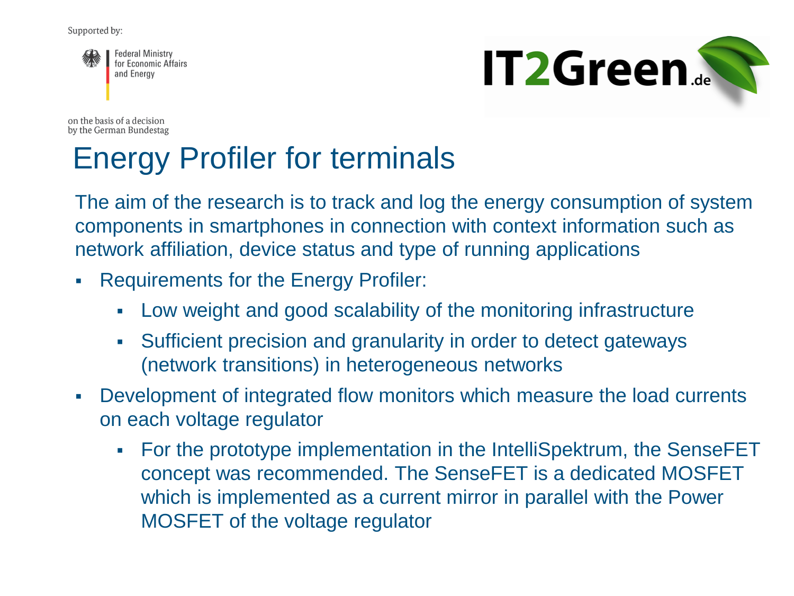



on the basis of a decision by the German Bundestag

#### Energy Profiler for terminals

The aim of the research is to track and log the energy consumption of system components in smartphones in connection with context information such as network affiliation, device status and type of running applications

- Requirements for the Energy Profiler:
	- Low weight and good scalability of the monitoring infrastructure
	- Sufficient precision and granularity in order to detect gateways (network transitions) in heterogeneous networks
- Development of integrated flow monitors which measure the load currents on each voltage regulator
	- For the prototype implementation in the IntelliSpektrum, the SenseFET concept was recommended. The SenseFET is a dedicated MOSFET which is implemented as a current mirror in parallel with the Power MOSFET of the voltage regulator